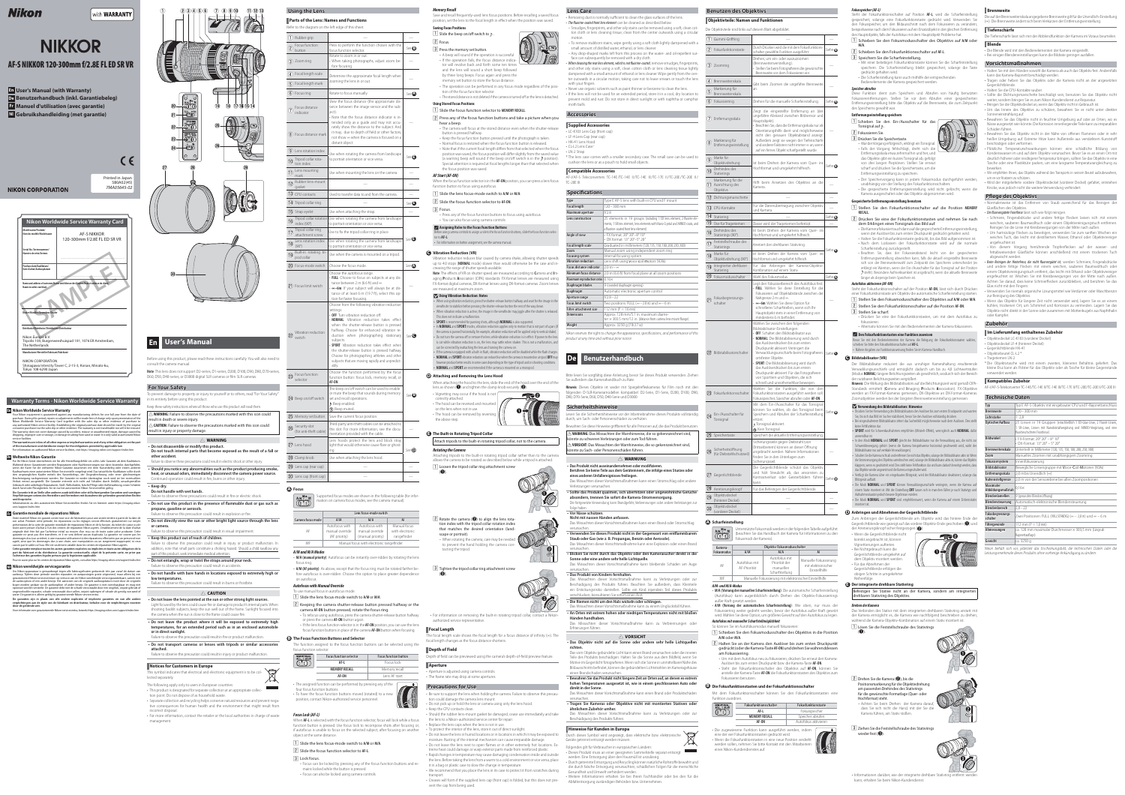# Nikon

# with **WARRANTY**

# **NIKKOR**

- **En User's Manual (with Warranty)**
- **De Benutzerhandbuch (inkl. Garantiebeleg)**
- **Fr Manuel d'utilisation (avec garantie)**
- **Nl Gebruikshandleiding (met garantie)**

# **NIKON CORPORATION**

# **AF-S NIKKOR 120-300mm f/2.8E FL ED SR VR**



C E

**Note**: This lens does not support D2-series, D1-series, D200, D100, D90, D80, D70-series, D60, D50, D40-series, or D3000 digital SLR cameras or film SLR cameras.



Before using this product, please read these instructions carefully. You will also need to consult the camera manual.

- **Do not touch internal parts that become exposed as the result of a fall or other accident.**
- Failure to observe these precautions could result in electric shock or other injury. **• Should you notice any abnormalities such as the product producing smoke, heat, or unusual odors, immediately disconnect the camera power source.** Continued operation could result in fire, burns or other injury.

# **For Your Safety**

To prevent damage to property or injury to yourself or to others, read "For Your Safety" in its entirety before using this product.

Failure to observe these precautions could result in fire or electric shock. • Do not use this product in the presence of flammable dust or gas such as **propane, gasoline or aerosols.**

- Keep these safety instructions where all those who use this product will read them. **A** WARNING: Failure to observe the precautions marked with this icon could
- result in death or severe injury.
- A **CAUTION:** Failure to observe the precautions marked with this icon could result in injury or property damage.

# A **WARNING**

**• Do not disassemble or modify this product.** 

- Failure to observe this precaution could result in explosion or fire. **• Do not directly view the sun or other bright light source through the lens**
- **or camera.** Failure to observe this precaution could result in visual impairment.
- **Keep this product out of reach of children.** Failure to observe this precaution could result in injury or product malfunction. In
- addition, note that small parts constitute a choking hazard. Should a child swallow any part of this product, seek immediate medical attention.
- Failure to observe this precaution could result in accidents.
- **Do not handle with bare hands in locations exposed to extremely high or low temperatures.**

#### **• Keep dry. Do not handle with wet hands.**

- Light focused by the lens could cause fire or damage to product's internal parts. When shooting backlit subjects, keep the sun well out of the frame. Sunlight focused into the camera when the sun is close to the frame could cause fire.
- **Do not leave the product where it will be exposed to extremely high temperatures, for an extended period such as in an enclosed automobile**
- Failure to observe this precaution could result in fire or product malfunction.
- **Do not transport cameras or lenses with tripods or similar accessories attached.**
- Failure to observe this precaution could result in injury or product malfunction.
- 
- **Do not entangle, wrap or twist the straps around your neck.**
- 

# A **CAUTION**

- **Do not leave the lens pointed at the sun or other strong light sources.**
- 
- **or in direct sunlight.**
- 
- 
- This symbol indicates that electrical and electronic equipment is to be col-



# **Notices for Customers in Europe**

- lected separately.
- The following apply only to users in European countries: • This product is designated for separate collection at an appropriate collection point. Do not dispose of as household waste.
- Separate collection and recycling helps conserve natural resources and prevent negative consequences for human health and the environment that might result from
- incorrect disposal. • For more information, contact the retailer or the local authorities in charge of waste management.

Save and recall frequently-used lens focus positions. Before recalling a saved focus position, set the lens to the focal length in effect when the position was saved.

**Saving Focus Positions**  $\boxed{1}$  Slide the beep on/off switch to b.

### **2** Focus.

- 3 Press the memory set button.
- A beep will sound if the operation is successful. • If the operation fails, the focus distance indica-
- tor will revolve back and forth some ten times
- and the lens will sound a short beep followed by three long beeps. Focus again and press the
- memory set button to store the focus distance.
- The operation can be performed in any focus mode regardless of the posi-
- tion of the focus function selector. • The stored distance is not deleted if the camera is turned off or the lens is detached.

- on autofocus.
- Failure to observe this precaution could result in burns or frostbite.

- $\boxed{2}$  Press any of the focus function buttons and take a picture when you hear a beep.
- The camera will focus at the stored distance even when the shutter-release button is pressed halfway.
- Keep the focus function button pressed until the photograph is taken. • Normal focus is restored when the focus function button is released. • Note that if the current focal length differs from that selected when the focus position was saved, the focus position will differ slightly from the saved value
- (a warning beep will sound if the beep on/off switch is in the  $\mathcal P$  position). Special attention is required at focal lengths longer than that selected when the focus position was saved. **AF Start (AF-ON)**

| <b>Using the Lens</b>                                            |                                                                                                                                                                                                                                                                                                                                                                                                                                                                                                                   |                           |
|------------------------------------------------------------------|-------------------------------------------------------------------------------------------------------------------------------------------------------------------------------------------------------------------------------------------------------------------------------------------------------------------------------------------------------------------------------------------------------------------------------------------------------------------------------------------------------------------|---------------------------|
|                                                                  | <b>Parts of the Lens: Names and Functions</b>                                                                                                                                                                                                                                                                                                                                                                                                                                                                     |                           |
| Refer to the diagram on the left edge of this sheet.             |                                                                                                                                                                                                                                                                                                                                                                                                                                                                                                                   |                           |
| Rubber grip<br>$\left(1\right)$                                  |                                                                                                                                                                                                                                                                                                                                                                                                                                                                                                                   |                           |
| Focus function<br>$\left( 5\right)$<br>button                    | Press to perform the function chosen with the<br>focus function selector.                                                                                                                                                                                                                                                                                                                                                                                                                                         | See $\mathbf \Theta$      |
| Zoom ring<br>(3)                                                 | Rotate to zoom in or out.<br>• When taking photographs, adjust zoom be-<br>fore focusing.                                                                                                                                                                                                                                                                                                                                                                                                                         |                           |
| Focal length scale<br>(4)                                        | Determine the approximate focal length when                                                                                                                                                                                                                                                                                                                                                                                                                                                                       |                           |
| Focal length mark<br>(5)                                         | zooming the lens in or out.                                                                                                                                                                                                                                                                                                                                                                                                                                                                                       |                           |
| $(6)$ Focus ring                                                 | Rotate to focus manually.                                                                                                                                                                                                                                                                                                                                                                                                                                                                                         | See $\Omega$              |
| Focus distance<br>indicator                                      | View the focus distance (the approximate dis-<br>tance between the image sensor and the sub-<br>ject).<br>• Note that the focus distance indicator is in-<br>tended only as a guide and may not accu-<br>rately show the distance to the subject. And                                                                                                                                                                                                                                                             |                           |
| (8) Focus distance mark                                          | it may, due to depth of field or other factors,<br>not show ∞ when the camera is focused on a<br>distant object.                                                                                                                                                                                                                                                                                                                                                                                                  |                           |
| $(9)$ Lens rotation index                                        | Use when rotating the camera from landscape                                                                                                                                                                                                                                                                                                                                                                                                                                                                       | See $\boldsymbol{\Theta}$ |
| Tripod collar rota-<br>$\circledR$<br>tion index                 | to portrait orientation or vice versa.                                                                                                                                                                                                                                                                                                                                                                                                                                                                            |                           |
| Lens mounting<br>$\textcircled{\small{1}}$<br>mark               | Use when mounting the lens on the camera.                                                                                                                                                                                                                                                                                                                                                                                                                                                                         |                           |
| Rubber lens-mount<br>(12)<br>gasket                              |                                                                                                                                                                                                                                                                                                                                                                                                                                                                                                                   |                           |
| $(13)$ CPU contacts                                              | Used to transfer data to and from the camera.                                                                                                                                                                                                                                                                                                                                                                                                                                                                     |                           |
| $(14)$ Tripod collar ring                                        |                                                                                                                                                                                                                                                                                                                                                                                                                                                                                                                   | See $\mathbf \Theta$      |
| $(15)$ Strap eyelet                                              | Use when attaching the strap.                                                                                                                                                                                                                                                                                                                                                                                                                                                                                     |                           |
| Tripod collar rotation<br>$\overline{16}$ index (90 $^{\circ}$ ) | Use when rotating the camera from landscape<br>to portrait orientation or vice versa.                                                                                                                                                                                                                                                                                                                                                                                                                             |                           |
| Tripod collar ring<br>ÍÌ<br>attachment screw                     | Use to fix the tripod collar ring in place.                                                                                                                                                                                                                                                                                                                                                                                                                                                                       |                           |
| Lens rotation index<br>$\left( 9\right)$<br>$(90^\circ)$         | Use when rotating the camera from landscape<br>to portrait orientation or vice versa.                                                                                                                                                                                                                                                                                                                                                                                                                             | $See \Theta$              |
| Built-in rotating tri-<br>19<br>pod collar                       | Use when the camera is mounted on a tripod.                                                                                                                                                                                                                                                                                                                                                                                                                                                                       |                           |
| (20) Focus-mode switch                                           | Choose the focus mode.                                                                                                                                                                                                                                                                                                                                                                                                                                                                                            | See $\Omega$              |
| (21) Focus limit switch                                          | Choose the autofocus range.<br>• FULL: Choose to focus on subjects at any dis-<br>tance between 2 m (6.6 ft) and $\infty$ .<br>• ∞-6m: If your subject will always be at dis-<br>tance of at least 6 m (19.7 ft), select this op-<br>tion for faster focusing.                                                                                                                                                                                                                                                    |                           |
| Vibration reduction<br>switch                                    | Choose from the following vibration reduction<br>settings:<br>• OFF: Turn vibration reduction off.<br>• NORMAL: Vibration reduction takes effect<br>when the shutter-release button is pressed<br>halfway. Choose for enhanced vibration re-<br>duction when photographing stationary<br>subjects.<br>• SPORT: Vibration reduction takes effect when<br>the shutter-release button is pressed halfway.<br>Choose for photographing athletes and other<br>subjects that are moving rapidly and unpredict-<br>ably. | $See \bigcirc$            |
| Focus function<br>(23)<br>selector                               | Choose the function performed by the focus<br>function button: focus lock, memory recall, or<br>AF-ON.                                                                                                                                                                                                                                                                                                                                                                                                            |                           |
| (24) Beep on/off switch                                          | The beep on/off switch can be used to enable<br>or mute the beep that sounds during memory<br>set and recall operations.<br>D: Beep enabled.<br>(): Beep muted.                                                                                                                                                                                                                                                                                                                                                   | See $\mathbf{B}$          |
| (25) Memory set button                                           | Save the current focus position.                                                                                                                                                                                                                                                                                                                                                                                                                                                                                  |                           |
| Security slot<br>(26)<br>(for anti-theft cable)                  | Third-party anti-theft cables can be attached to<br>this slot. For more information, see the docu-<br>mentation provided with the cable.                                                                                                                                                                                                                                                                                                                                                                          |                           |
| (27) Lens hood                                                   | Lens hoods protect the lens and block stray<br>light that would otherwise cause flare or ghost-<br>ing.                                                                                                                                                                                                                                                                                                                                                                                                           | $See \bullet$             |
| (28) Clamp knob                                                  | Use when attaching the lens hood.                                                                                                                                                                                                                                                                                                                                                                                                                                                                                 |                           |
| (29) Lens cap (rear cap)                                         |                                                                                                                                                                                                                                                                                                                                                                                                                                                                                                                   |                           |
| (30) Lens cap (front cap)                                        |                                                                                                                                                                                                                                                                                                                                                                                                                                                                                                                   |                           |

#### When the focus function selector is in the **AF-ON** position, you can press a lens focus TC-20E III function button to focus using autofocus.

• Press any of the focus function buttons to focus using autofocus. • You can also focus using camera controls.

#### are measured at maximum zoom. **V** Using Vibration Reduction: Notes

• When using vibration reduction, press the shutter-release button halfway and wait for the image in the viewfinder to stabilize before pressing the shutter-release button the rest of the way down. • When vibration reduction is active, the image in the viewfinder may jiggle after the shutter is release

If the camera is equipped with a built-in flash, vibration reduction will be disabled while the flash charges. • **NORMAL** and **SPORT** vibration reduction can reduce blur when the camera is mounted on a tripod. **OFF** may however produce better results in some cases depending on the type of tripod and on shooting conditions. • **NORMAL** and **SPORT** are recommended if the camera is mounted on a monopod.

## **D** Attaching and Removing the Lens Hood

lens as shown ( $\bullet$ ) and tighten the clamp knob securely ( $\bullet$ ). • Vignetting may occur if the hood is not

correctly attached. • The hood can be reversed and mounted

# **A Focus**

Supported focus modes are shown in the following table (for inforation on camera focus modes, see the camera manual).

> • When rotating the camera, care may be needed to prevent the hand holding the camera contacting the tripod.

 $\boxed{3}$  Tighten the tripod collar ring attachment screw  $\left( \mathbf{e} \right)$ 

|                   | Lens focus-mode switch                             |                                                        |                                                |  |
|-------------------|----------------------------------------------------|--------------------------------------------------------|------------------------------------------------|--|
| Camera focus mode | M/A<br>A/M                                         |                                                        | м                                              |  |
| AF                | Autofocus with<br>manual override<br>(AF priority) | Autofocus with<br>manual override<br>(manual priority) | Manual focus<br>with electronic<br>rangefinder |  |
| MF                | Manual focus with electronic rangefinder           |                                                        |                                                |  |

The focal length scale shows the focal length for a focus distance of infinity (∞). The focal length changes as the focus distance shortens.

**Depth of Field** Depth of field can be previewed using the camera's depth-of-field preview feature.

#### • Aperture is adjusted using camera controls. • The frame rate may drop at some apertures

#### **A/M and M/A Modes** • **M/A (manual priority)**: Autofocus can be instantly over-ridden by rotating the lens

focus ring. • **A/M (AF priority)**: As above, except that the focus ring must be rotated farther before autofocus is over-ridden. Choose this option to place greater dependence

# **Autofocus with Manual Override**

To use manual focus in autofocus mode:

- z Slide the lens focus-mode switch to **A/M** or **M/A**.
- 2 Keeping the camera shutter-release button pressed halfway or the camera **AF-ON** button pressed, rotate the focus ring. • To refocus using autofocus, press the camera shutter-release button halfway
- or press the camera **AF-ON** button again. • If the lens focus function selector is in the **AF-ON** position, you can use the lens focus function buttons in place of the camera **AF-ON** button when focusing.

# **B** The Focus Function Buttons and Selector

The function assigned to the focus function buttons can be selected using the focus function selector.

- **Focus function selector Focus function button**  $\overline{\mathbb{CD}}$ **AF-L** Focus lock **MEMORY RECALL SERVICE RECALL Memory recall AF-ON** Lens AF start
- 
- To have the focus function buttons moved (rotated) to a new
- **Focus Lock (AF-L)** When **AF-L** is selected with the focus function selector, focus will lock while a focus
- The assigned function can be performed by pressing any of the four focus function buttons.
- position, contact Nikon-authorized service personnel.





function button is pressed. Use focus lock to recompose shots after focusing or, if autofocus is unable to focus on the selected subject, after focusing on another object at the same distance.

**T** Slide the lens focus-mode switch to A/M or M/A.

**2** Slide the focus function selector to AF-L.

3 Lock focus.

• Focus can be locked by pressing any of the focus function buttons and remains locked while the button is pressed. • Focus can also be locked using camera controls.

#### **Memory Recall**

s the right to change the appearance, specifications, and performance of thi product at any time and without prior notice.

Hinweis: Dieses Objektiv ist weder mit Spiegelreflexkameras für Film noch mit den folgenden D-SLR-Kameramodellen kompatibel: D2-Serie, D1-Serie, D200, D100, D90, D80, D70-Serie, D60, D50, D40-Serie und D3000.

#### **Using Stored Focus Positions**

**T** Slide the focus function selector to MEMORY RECALL.

Das Missachten dieser Vorsichtsmaßnahme kann eine Explosion oder einen Brand verursachen. Blicken Sie nicht durch das Objektiv oder den Kamerasucher direkt in die

z Slide the lens focus-mode switch to **A/M** or **M/A**.

# **2** Slide the focus function selector to AF-ON.

 $|3|$  Focus.

# A **Assigning Roles to the Focus Function Buttons**

A **VORSICHT • Das Objektiv nicht auf die Sonne oder andere sehr helle Lichtquellen** 

Das vom Objektiv gebündelte Licht kann einen Brand verursachen oder die inneren Teile des Produkts beschädigen. Halten Sie die Sonne aus dem Bildfeld, wenn Sie Motive im Gegenlicht fotografieren. Wenn sich die Sonne in unmittelbarer Nähe des Bildausschnitts befindet, können die gebündelten Lichtstrahlen im Kameragehäuse

Before using camera controls to assign a role to the focus function buttons, slide the focus function selector to **AF-L**. • For information on button assignment, see the camera manual.

## **C Vibration Reduction (VR)**

Vibration reduction reduces blur caused by camera shake, allowing shutter speeds up to 4.0 stops (**NORMAL** mode) slower than would otherwise be the case and in-

creasing the range of shutter speeds available. Note: The effects of VR on shutter speed are measured according to Camera and Imaging **P**roducts **A**ssociation (CIPA) standards. FX-format lenses are measured using FX-format digital cameras, DX-format lenses using DX-format cameras. Zoom lenses

> · Durch getrennte Entsorgung und Recycling können natürliche Rohstoffe bewahrt und die durch falsche Entsorgung verursachten, schädlichen Folgen für die menschliche

This does not indicate a malfunction. • **SPORT** is recommended for panning shots, although **NORMAL** is also supported. Zeigt die eingestellte Entfernung an (der ungefähre Abstand zwischen Bildsensor und

• In **NORMAL** and **SPORT** modes, vibration reduction applies only to motion that is not part of a pan (if the camera is panned horizontally, for example, vibration reduction will be applied only to vertical shake). • Do not turn the camera off or remove the lens while vibration reduction is in effect. If power to the lens is cut while vibration reduction is on, the lens may rattle when shaken. This is not a malfunction, ar can be corrected by reattaching the lens and turning the camera on.

i Markierung für  $\frac{1}{2}$  Entfernungseinste

) Marke für<br>Objektivdrehund

**I.** Drehindex des **Stativrings** Markierung für die 1) Ausrichtung des **Objektivs** 

 $(12)$  Dichtungsmanschette

14 Stativring

**16** Drehindex des<br>Stativrings (90°)

 $\sim$  Marke für

 $\mathcal{D}$  Feststellschraube des

<sup>1</sup> Integrierter drehbarer<br>Stativring

t beim Drehen der Kamera vom Quer- in Hochformat und umgekehrt hilfreich.

retiert den drehbaren Stativring.

**Pokusbegrenzungs**schalter

(22) Bildstabilisatorschalter

eat den Fokussierbereich des Autofokus fest. · FULL: Wählen Sie diese Einstellung für da Fokussieren auf Objektabstände zwischen der

When attaching the hood to the lens, slide the end of the hood over the end of the

on the lens when not in use.

• The hood can be removed by reversing the above step.

**E** The Built-in Rotating Tripod Collar

24 Ein-/Ausschalter für Tonsignal

# Attach tripods to the built-in rotating tripod collar, not to the camera.

Sicherheitsöffnung (für Diebstahlschutzseil)

 $\n *J* Gegenlichtblende$ 

Objektivdeckel (hinterer Deckel) Objektivdeckel (vorderer Deckel)

# **Rotating the Camera**

Attaching tripods to the built-in rotating tripod collar rather than to the camera allows the camera to be rotated as described below while a tripod is attached.

> kann. Arretierungsknopf Für das Befestigen der Gegenlichtblende.

(q).



## that matches the desired orientation (landscape or portrait).

• For information on removing the built-in rotating tripod collar, contact a Nikonauthorized service representative.

# **Focal Length**

2 Halten Sie an der Kamera den Auslöser bis zum ersten Druckpunkt gedrückt (oder die Kamera-Taste **AF-ON**) und drehen Sie währenddessen

**Aperture**

**Fokusfunktionsschalter Fokusfunktionstaste AF-L** Fokusspeicher **MEMORY RECALL Speicher abrufen AF-ON** Autofokus aktivieren

Verwacklungsunschärfe beim Fotografieren Siehe

Ist beim Drehen der Kamera vom Ouer-

 $\sqrt{1}$  Schieben Sie den Fokusmodusschalter des Objektivs auf A/M oder **M/A**. x Schieben Sie den Fokusfunktionsschalter auf **AF-L**.

- **Precautions for Use** • Be sure to support the lens when holding the camera. Failure to observe this precaution could damage the camera lens mount.
- Do not pick up or hold the lens or camera using only the lens hood.
- Keep the CPU contacts clean. • Should the rubber lens-mount gasket be damaged, cease use immediately and take the lens to a Nikon-authorized service center for repair.
- Replace the lens caps when the lens is not in use.
- To protect the interior of the lens, store it out of direct sunlight. • Do not leave the lens in humid locations or in locations in which it may be exposed to
- moisture. Rusting of the internal mechanism can cause irreparable damage. • Do not leave the lens next to open flames or in other extremely hot locations. Extreme heat could damage or warp exterior parts made from reinforced plastic.
- Rapid changes in temperature may cause damaging condensation inside and outside the lens. Before taking the lens from a warm to a cold environment or vice versa, place it in a bag or plastic case to slow the change in temperature. • We recommend that you place the lens in its case to protect it from scratches during
- transport. • Creases will form if the supplied lens cap (front cap) is folded, but this does not prevent the cap from being used.
- $\overline{3}$  Speichern Sie die Scharfeinstellung.
- Mit einer beliebigen Fokusfunktionstaste können Sie die Scharfeinstellung speichern. Die Scharfeinstellung bleibt gespeichert, solange die Taste
- gedrückt gehalten wird.
- Die Scharfeinstellung kann auch mithilfe der entsprechenden Bedienelemente der Kamera gespeichert werden.

Diese Funktion dient zum Speichern und Abrufen von häufig benutzten Fokussierentfernungen. Stellen Sie vor dem Abrufen einer gespeicherten Entfernungseinstellung bitte das Objektiv auf die Brennweite, die zum Zeitpunkt des Speicherns gewählt war.

• Falls der Vorgang fehlschlägt, dreht sich di Entfernungsskala etwa zehnmal hin und her, und das Objektiv gibt ein kurzes Tonsignal ab, gefolgt von drei langen Pieptönen. Stellen Sie erneut scharf und drücken Sie die Speichertaste, um die

# **En User's Manual**

- **Lens Care**
- Removing dust is normally sufficient to clean the glass surfaces of the lens. • The fluorine-coated front lens element can be cleaned as described below.
- Smudges, fingerprints, and other oily stains can be removed using a soft, clean cot-pie Objektivteile sind links auf diesem Blatt abgebildet. ton cloth or lens cleaning tissue; clean from the center outwards using a circular

**Benutzen des Objektivs** 

) Gummi-Griffring

) Zoomring

) Brennweitenskala

Markierung für <sup>/</sup> Brennweitenska

Entfernungsskala

- 2 Drücken Sie eine der Fokusfunktionstasten und nehmen Sie nach dem Erklingen eines Tonsignals das Bild auf.
- Die Kamera fokussiert auch dann auf die gespeicherte Entfernungseinstellung, wenn der Auslöser bis zum ersten Druckpunkt gedrückt gehalten wird. • Halten Sie die Fokusfunktionstaste gedrückt, bis das Bild aufgenommen ist. • Nach dem Loslassen der Fokusfunktionstaste wird auf die normale
- Scharfeinstellung zurückgestellt. • Beachten Sie, dass der Fokussierabstand leicht von der gespeicherten Entfernungseinstellung abweichen kann, falls die aktuell eingestellte Brennweite
- sich von der Brennweitenwahl zum Zeitpunkt des Speicherns unterscheidet (es erklingt ein Warnton, wenn der Ein-/Ausschalter für das Tonsignal auf der Position steht). Besondere Aufmerksamkeit ist angebracht, wenn die aktuelle Brennweite länger als diejenige beim Speichern ist.

Steht der Fokusfunktionsschalter auf der Position **AF-ON**, lässt sich durch Drücken einer Fokusfunktionstaste am Objektiv die automatische Scharfeinstellung starten.  $\overline{1}$  Stellen Sie den Fokusmodusschalter des Objektivs auf A/M oder M/A.

- x Stellen Sie den Fokusfunktionsschalter auf die Position **AF-ON**.
- 3 Stellen Sie scharf.
- Drücken Sie eine der Fokusfunktionstasten, um mit dem Autofokus zu fokussieren. • Alternativ können Sie mit den Bedienelementen der Kamera fokussierer

 A **Den Fokusfunktionstasten eine Funktion zuweisen** Bevor Sie mit den Bedienelementen der Kamera die Belegung der Fokusfunktionstasten wählen, schieben Sie bitte den Fokusfunktionsschalter auf **AF-L**. • Nähere Angaben zur Funktionszuweisung finden Sie im Kamera-Handbuch

- motion. - To remove stubborn stains, wipe gently using a soft cloth lightly dampened with a small amount of distilled water, ethanol, or lens cleaner.
- Any drop-shaped marks left from this process on the water- and oil-repellent surface can subsequently be removed with a dry cloth. When cleaning the rear lens element, which is not fluorine-coated, remove smudges, fingerprints, and other oily stains using a soft, clean cotton cloth or lens cleaning tissue lightly dampened with a small amount of ethanol or lens cleaner. Wipe gently from the center outwards in a circular motion, taking care not to leave smears or touch the lens
- with your fingers • Never use organic solvents such as paint thinner or benzene to clean the lens. • If the lens will not be used for an extended period, store it in a cool, dry location to
- prevent mold and rust. Do not store in direct sunlight or with naphtha or camphor moth balls.

#### **Accessories Accessories**

- **Supplied Accessories**
- $\cdot$  LC-K103 Lens Cap (front cap • LF-4 Lens Cap (rear cap)
- HK-41 Lens Hood
- CL-L2 Lens Case  $\cdot$  | N-2 Strap
- \* The lens case comes with a smaller secondary case. The small case can be used to cushion the lens or as a pouch to hold small objects.

### **Compatible Accessories**

AF-I/AF-S Teleconverters TC-14E /TC-14E II /TC-14E III /TC-17E II /TC-20E /TC-20E II /

- Zum Anbringen der Gegenlichtblende am Objektiv wird das hintere Ende der Gegenlichtblende wie gezeigt auf das vordere Objektiv-Ende geschoben ( $\bigcirc$ ) und
- der Arretierungsknopf sicher festgezogen (2).

| <b>Type</b>                       | Type E AF-S lens with built-in CPU and F mount                                                                                                                                                    |
|-----------------------------------|---------------------------------------------------------------------------------------------------------------------------------------------------------------------------------------------------|
| <b>Focal length</b>               | $120 - 300$ mm                                                                                                                                                                                    |
| Maximum aperture                  | f/2.8                                                                                                                                                                                             |
| Lens construction                 | 25 elements in 19 groups (including 1 ED lens element, 2 fluorite ele-<br>ments, 1 SR lens element, lens elements with Nano Crystal and ARNEO coats, and<br>a fluorine-coated front lens element) |
| Angle of view                     | • FX format: 20° 20'-8° 10'<br>• DX format: 13° 20'-5° 20'                                                                                                                                        |
| <b>Focal length scale</b>         | Graduated in millimeters (120, 135, 150, 180, 200, 250, 300)                                                                                                                                      |
| <b>Zoom</b>                       | Manual zoom using independent zoom ring                                                                                                                                                           |
| <b>Focusing system</b>            | Internal focusing system                                                                                                                                                                          |
| <b>Vibration reduction</b>        | Lens shift using voice coil motors (VCMs)                                                                                                                                                         |
| <b>Focus distance indicator</b>   | $20m - \infty$                                                                                                                                                                                    |
| Minimum focus distance            | 2.0 m (6.6 ft) from focal plane at all zoom positions                                                                                                                                             |
| <b>Maximum reproduction ratio</b> | $0.16\times$                                                                                                                                                                                      |
| Diaphragm blades                  | 9 (rounded diaphragm opening)                                                                                                                                                                     |
| <b>Diaphragm</b>                  | Automatic electronic aperture control                                                                                                                                                             |
| Aperture range                    | $f/2.8 - 22$                                                                                                                                                                                      |
| <b>Focus limit switch</b>         | Two positions: FULL ( $\infty - 2.0$ m) and $\infty - 6$ m                                                                                                                                        |
| <b>Filter-attachment size</b>     | 112 mm ( $P = 1.0$ mm)                                                                                                                                                                            |
| <b>Dimensions</b>                 | Approx. 128 mm/5.1 in. maximum diame-<br>ter $\times$ 303.5 mm/12 in. (distance from camera lens mount flange)                                                                                    |
| Weight                            | Approx. 3250 g (7 lb 2.7 oz)                                                                                                                                                                      |

**2** Drehen Sie die Kamera ( $\bullet$ ), bis die Positionsmarkierung für die Objektivdrehung am passenden Drehindex des Stativrings für die gewünschte Formatlage (Quer- oder Hochformat) steht.

- Achten Sie beim Drehen der Kamera darauf, dass Sie sich nicht die Hand, mit der Sie die Kamera führen, am Stativ stoßen.
- $\boxed{3}$  Ziehen Sie die Feststellschraube des Stativrings wieder fest  $\left( \bigcirc$ .

ie auf der Brennweitenskala angegebene Brennweite gilt für die Unendlich-Einstellung (∞). Die Brennweite ändert sich beim Verkürzen der Entfernungseinstellung.

e Tiefenschärfe lässt sich mit der Abblendfunktion der Kamera im Voraus beurteilen. **Blende**

Bitte lesen Sie sorgfältig diese Anleitung, bevor Sie dieses Produkt verwenden. Ziehen Sie außerdem das Kamerahandbuch zu Rate.

#### **Sicherheitshinweise**

Lesen Sie die Sicherheitshinweise vor der Inbetriebnahme dieses Produkts vollständig durch, um Sach- oder Personenschäden zu verhüten.

Bewahren Sie diese Hinweise griffbereit für alle Personen auf, die das Produkt benutze A **WARNUNG:** Das Missachten der Warnhinweise, die so gekennzeichnet sind, önnte zu schweren Verletzungen oder zum Tod führen.

A **VORSICHT:** Das Missachten der Warnhinweise, die so gekennzeichnet sind, könnte zu Sach- oder Personenschäden führen.

# A **WARNUNG**

• Das Produkt nicht auseinandernehmen oder modifizieren.

**Berühren Sie keine Teile aus dem Geräteinnern, die infolge eines Sturzes oder eines anderen Unfallereignisses freiliegen.** Das Missachten dieser Vorsichtsmaßnahmen kann einen Stromschlag oder andere

Verletzungen verursachen. **• Sollte das Produkt qualmen, sich überhitzen oder ungewöhnliche Gerüche absondern, trennen Sie sofort die Kamera-Stromversorgung.** Die fortgesetzte Verwendung kann Brandgefahr, Verbrennungen oder andere Verletzungen zur

**• Vor Nässe schützen.** 

Folge haben

#### **Nicht mit nassen Händen anfassen.** Das Missachten dieser Vorsichtsmaßnahmen kann einen Brand oder Stromschlag

verursachen. **• Verwenden Sie dieses Produkt nicht in der Gegenwart von entflammbarem Staub oder Gas (wie z. B. Propangas, Benzin oder Aerosole).**

#### **Sonne oder eine andere sehr helle Lichtquelle.** Das Missachten dieser Vorsichtsmaßnahme kann bleibende Schäden am Auge

verursachen.

**• Das Produkt von Kindern fernhalten.**

Das Missachten dieser Vorsichtsmaßnahme kann zu Verletzungen oder zur Beschädigung des Produkts führen. Beachten Sie außerdem, dass Kleinteile ein Erstickungsrisiko darstellen. Sollte ein Kind irgendein Teil dieses Produkts

verschlucken, konsultieren Sie sofort einen Arzt.

**• Die Riemen nicht um den Hals wickeln oder schlingen.** 

Das Missachten dieser Vorsichtsmaßnahme kann zu einem Unglücksfall führen. **• An Orten mit extrem hohen oder niedrigen Temperaturen nicht mit bloßen** 

**Händen handhaben.**

Erfrierungen führen.

Das Missachten dieser Vorsichtsmaßnahme kann zu Verbrennungen oder

Für Ihr Nikon-Gerät übernehmen wir für alle Herstellungsfehler ein volles Jahr Garantie ab dem Kaufdatum. Während dieser Garantiezeit werden Reparaturen oder Nachbesserungen nur dann kostenlos durch wenn die Karte für die weltweite Nikon-Garantie zusammen mit dem Kassenbeleg oder einem anderen Kaufnachweis einer autorisierten Nikon-Servicestelle vorgelegt wird. Das tatsächliche Kaufdatum sollte durch den ursprünglichen Käufer mittels des Kassenbelegs, der Originalrechnung oder einer gleichwertigen<br>Bescheinigung nachgewiesen werden. Die Garantie ist weder übertragbar noch wird sie bei eventuellem Verlust erneut ausgestellt. Die Garantie erstreckt sich nicht auf Schäden durch Unfälle, unsachgemäß Gebrauch oder unbefugte Reparaturen, Stoß-/Fallschäden, falsche Pflege oder Aufbewahrung, sowie Schäden durch Sand oder Flüssigkeiten. Sie ist nur bei autorisierten Nikon-Servicestellen gültig. **Die Garantie tritt an Stelle aller anderen ausdrücklichen oder stillschweigenden Garantien und sonstigen Verpflichtungen seitens des Herstellers und Vertreibers mit Ausnahme der geltenden gesetzlichen Rechte und Ansprüche.** Informationen zu den autorisierten Nikon-Servicestellen finden Sie im Internet unter https://imaging.nikon.

**richten.**

einen Brandschaden verursachen.

**• Bewahren Sie das Produkt nicht längere Zeit an Orten auf, an denen es extrem hohen Temperaturen ausgesetzt ist, wie in einem geschlossenen Auto oder** 

Votre matériel Nikon est garanti contre tout vice de fabrication pour une année entière à partir de la date de son achat. Pendant cette période, les réparations ou les réglages seront effectués gratuitement sur simple<br>présentation de la carte de garantie mondiale de réparations Nikon et de la facture, du ticket de caisse ou de<br>tout ginale doit être fait par l'acheteur initial au moyen d'un reçu ou de toute autre pièce probante. Cette garantie ne peut pas être transférée, et il ne sera délivré aucun duplicata. La garantie ne couvre pas les mmages dus à un accident, à une mauvaise utilisation et à des réparations effectuées par un personnel n agréé, ainsi que les dommages dus à une chute, une manipulation ou un rangement inapproprié, ni ceux causés par le sable ou l'eau. Elle est seulement valable dans les centres de réparation Nikon agréés. **Cette garantie remplace toutes les autres garanties explicites ou implicites et toute autre obligation de la part du fabricant et du distributeur. La garantie contractuelle, objet de la présente carte, ne prive pas l'acheteur des garanties légales prévues par la législation applicable.** ur en savoir plus sur les centres de réparation Nikon agréés, consultez https://imaging.nikon.com/support/index.htr

**direkt in der Sonne.**

Das Missachten dieser Vorsichtsmaßnahme kann einen Brand oder Produktschäden

• Tragen Sie Kameras oder Objektive nicht mit montierten Stativen oder

verursachen.

**ähnlichem Zubehör umher.**

Das Missachten dieser Vorsichtsmaßnahme kann zu Verletzungen oder zur

Beschädigung des Produkts führen.

**Hinweise für Kunden in Europa**

Durch dieses Symbol wird angezeigt, dass elektrische bzw. elektronische

Geräte getrennt entsorgt werden müssen.

Folgendes gilt für Verbraucher in europäischen Ländern:

• Dieses Produkt muss an einer geeigneten Sammelstelle separat entsorgt

werden. Eine Entsorgung über den Hausmüll ist unzulässig.

Gesundheit und Umwelt verhindert werden.

• Weitere Informationen erhalten Sie bei Ihrem Fachhändler oder bei den für die

Abfallentsorgung zuständigen Behörden bzw. Unternehmen.

**Objektivteile: Namen und Funktionen**

w Fokusfunktionstaste Durch Drücken wird die mit dem Fokusfunktions-schalter gewählte Funktion ausgeführt. Siehe **<sup>B</sup>**

rehen, um ein- oder auszuzoomer nweitenverstellung

—

y Fokussierring Drehen für die manuelle Scharfeinstellung. Siehe **<sup>A</sup>**

Hauptobjekt).

• .<br>• Stellen Sie beim Fotografieren die gewünsch ennweite vor dem Fokussieren ein.

Gibt beim Zoomen die ungefähre Brennweite <sub>|</sub> \_\_<br>an.

• Beachten Sie, dass die Entfernungsskala nur als Orientierungshilfe dient und möglicherweise nicht den genauen Objektabstand anzeigt. Außerdem zeigt sie wegen der Tiefenschärfe und anderer Faktoren nicht immer ∞ an, wenn auf ein fernes Objekt scharfgestellt wurde.

—

Hochformat und umgekehrt hilfreich. Siehe **<sup>E</sup>**

13 CPU-Kontakte Für die Datenübertragung zwischen Objektiv —<br>und Kamera.

 $\boxed{16}$  Öse für Trageriemen  $\boxed{\phantom{1}}$  Daran wird der Trageriemen befestigt.

Hilft beim Ansetzen des Objektivs an die Kamera. —

Siehe **E**

Objektivdrehung (90°) Hochformat und umgekehrt hilfreich.

Für das Anbringen der Kamera-Objektiv-

Kombination auf einem Stativ.

@0Fokusmodusschalter Wahl des Fokusmodus. Siehe **<sup>A</sup>**

t beim Drehen der Kamera vom Quer- ins  $\left| \frac{\partial u}{\partial x} \right|$ 

Nahgrenze 2 m und ∞.

mindestens 6 m befindet.

• **∞–6m**: Wählen Sie diese Option für schnelleres Scharfstellen, wenn sich Ihr Hauptobjekt stets in einer Entfernung von —

Wählen Sie zwischen den folgenden Bildstabilisator-Einstellungen: • **OFF**: Schaltet den Bildstabilisator aus. • **NORMAL**: Die Bildstabilisierung wird durch das Auslöserdrücken bis zum ersten Druckpunkt aktiviert. Verringert die

ortsfester Objekte.

 $\circled{2}$  Fokusfunktionsschalter | Fokusfunktionstasten ausgeführt werden soll:

• **SPORT**: Die Bildstabilisierung wird durch las Auslöserdrücken bis zum ersten Druckpunkt aktiviert. Für das Fotografiere von Sportlern und Objekten, die sich schnell und unvorhersehbar bewegen.

Wählen Sie die Funktion, die von den

Fokusspeicher, Speicher abrufen oder **AF-ON**.

Siehe **B**

Mit dem Ein-/Ausschalter für das Tonsignal önnen Sie wählen, ob das Tonsignal beim Speichern und Abrufen der Scharfeinstellung

ertönt.

**25**) Speichertaste Speichert die aktuelle Entfernungse

: Tonsignal aktiviert. : Kein Tonsignal.

cherungsseil.

Sicherungsseile gegen Diebstahl (von ittanbietern) können an dieser Öffnung ngebracht werden. Nähere Informationen fi nden Sie in den Unterlagen zum

—

Die Gegenlichtblende schützt das Objektiv und hält Streulicht ab, das ansonsten zu Kontrastverlust oder Geisterbildern führen Siehe **D**

**A Scharfeinstellung**

Unterstützte Fokusmodi werden in der folgenden Tabelle aufgeführt (beachten Sie das Handbuch der Kamera für Informationen zu den

Fokusmodi der Kamera).

**Kamera- Kamera-Fokusmodus**

**Objektiv-Fokusmodusschalter A/M M/A M**

AF-Priorität

Autofokus mit Priorität der manuellen Scharfstellung

MF | Manuelle Fokussierung mit elektronischer Einstellhilfe

Manuelle Fokussierung mit elektronischer Einstellhilfe

**A/M- und M/A-Modus**

• **M/A (Vorrang der manuellen Scharfeinstellung)**: Die automatische Scharfeinstellung (Autofokus) kann augenblicklich durch Drehen des Objektiv-Fokussierrings

außer Kraft gesetzt werden.

• **A/M (Vorrang der automatischen Scharfeinstellung)**: Wie oben, nur muss der Fokussierring weiter gedreht werden, bevor der Autofokus außer Kraft gesetzt wird. Wählen Sie diese Option, um größeres Gewicht auf den Autofokus zu legen.

1 Schieben Sie den Fokusmodusschalter des Objektivs in die Position

**Autofokus mit manueller Scharfstellmöglichkeit**

So können Sie im Autofokusmodus manuell fokussieren:

**A/M** oder **M/A**.

am Fokussierring.

• Um mit dem Autofokus neu zu fokussieren, drücken Sie erneut den Kamera-Auslöser bis zum ersten Druckpunkt bzw. die Kamera-Taste **AF-ON**. • Steht der Fokusfunktionsschalter des Objektivs auf **AF-ON**, können Sie anstelle der Kamera-Taste **AF-ON** die Fokusfunktionstasten des Objektivs zum

Fokussieren benutzen.

 $AF$  Autofokus mit

**B Die Fokusfunktionstasten und der Fokusfunktionsschalter**

Mit dem Fokusfunktionsschalter können Sie den Fokusfunktionstasten eine

Funktion zuordnen.

 $\begin{picture}(20,20) \put(0,0){\line(1,0){10}} \put(15,0){\line(1,0){10}} \put(15,0){\line(1,0){10}} \put(15,0){\line(1,0){10}} \put(15,0){\line(1,0){10}} \put(15,0){\line(1,0){10}} \put(15,0){\line(1,0){10}} \put(15,0){\line(1,0){10}} \put(15,0){\line(1,0){10}} \put(15,0){\line(1,0){10}} \put(15,0){\line(1,0){10}} \put(15,0){\line(1$ 

• Die zugewiesene Funktion kann ausgeführt werden, indem

eine der vier Fokusfunktionstasten gedrückt wird.

• Wenn die Fokusfunktionstasten in eine neue Position verdreht werden sollen, nehmen Sie bitte Kontakt mit den Mitarbeitern

eines Nikon-Kundendienstes auf.

#### **Fokusspeicher (AF-L)**

Steht der Fokusfunktionsschalter auf Position **AF-L**, wird die Scharfeinstellung gespeichert, solange eine Fokusfunktionstaste gedrückt wird. Verwenden Sie den Fokusspeicher, um den Bildausschnitt nach dem Fokussieren zu verändern; beispielsweise nach dem Fokussieren auf ein Ersatzobjekt in der gleichen Entfernung des Hauptobjekts, falls der Autofokus mit dem Hauptobjekt Probleme hat.

## **Speicher abrufen**

# **Entfernungseinstellung speichern**



3 Drücken Sie die Speichertaste.

2 Fokussieren Sie.



- Entfernungseinstellung zu speichern.
- Der Speichervorgang kann in jedem Fokusmodus durchgeführt werden, unabhängig von der Stellung des Fokusfunktionsschalters. • Die gespeicherte Entfernungseinstellung wird nicht gelöscht, wenn die

# Kamera ausgeschaltet oder das Objektiv abgenommen wird.

**Gespeicherte Entfernungseinstellung benutzen**  $\boxed{1}$  Stellen Sie den Fokusfunktionsschalter auf die Position MEMORY **RECALL**.

## **Autofokus aktivieren (AF-ON)**

**C Bildstabilisator (VR)**

Der Bildstabilisator reduziert die aus unruhiger Kamerahaltung resultierende Verwacklungsunschärfe und ermöglicht dadurch um bis zu 4,0 Lichtwertstufen (Modus **NORMAL**) längere Belichtungszeiten als gewöhnlich, wodurch sich der Bereich der nutzbaren Belichtungszeiten vergrößert. **Hinweis**: Die Wirkung des Bildstabilisators auf die Belichtungszeit wird gemäß CIPA-

Standards ermittelt (**C**amera and **I**maging **P**roducts **A**ssociation). FX-Objektive werden an FX-Format-Kameras gemessen, DX-Objektive an DX-Format-Kameras. Zoomobjektive werden bei der längsten Brennweiteneinstellung gemessen.

#### D **Verwendung des Bildstabilisators: Hinweise**

- Drücken Sie bei Verwendung des Bildstabilisators den Auslöser bis zum ersten Druckpunkt und warten Sie, bis sich das Bild im Sucher stabilisiert, bevor Sie den Auslöser vollständig drücken. • Bei eingeschaltetem Bildstabilisator zittert das Sucherbild möglicherweise nach dem Auslösen. Dies stell keine Fehlfunktion dar.
- **SPORT** wird für Schwenkaufnahmen empfohlen (Mitzieh-Effekt), wenngleich auch NORMAL dafü anwendbar ist. • In den Modi **NORMAL** und **SPORT** gleicht der Bildstabilisator nur die Verwacklung aus, die nicht zur
- Schwenkbewegung gehört (wenn die Kamera beispielsweise horizontal geschwenkt wird, wirkt der Bildstabilisator nur auf vertikale Verwacklungen).
- Schalten Sie die Kamera nicht ab und entfernen Sie nicht das Objektiv, solange der Bildstabilisator aktiv ist. Wenn die Stromversorgung des Objektivs unterbrochen wird, solange der Bildstabilisator aktiv ist, könnte das Objektiv klappern, wenn es geschüttelt wird. Dies stellt keine Fehlfunktion dar und kann dadurch beseitigt werden, dass das Objektiv wieder angesetzt und die Kamera eingeschaltet wird.
- Verfügt die Kamera über ein eingebautes Blitzgerät, wird der Bildstabilisator deaktiviert, solange das Blitzgerät auflädt. • Die Modi **NORMAL** und **SPORT** können Verwacklungsunschärfe verringern, wenn die Kamera auf
- einem Stativ montiert ist. Mit der Einstellung **OFF** lassen sich in manchen Fällen je nach Stativtyp und Aufnahmesituation jedoch bessere Ergebnisse erzielen. • Die Modi **NORMAL** und **SPORT** sind empfehlenswert, wenn die Kamera auf einem Einbeinstativ

montiert ist.

### **D Anbringen und Abnehmen der Gegenlichtblende**

- Wenn die Gegenlichtblende nicht korrekt angebracht ist, können
- Vignettierungen auftreten.
- Bei Nichtgebrauch kann die Gegenlichtblende umgekehrt auf
- dem Objektiv montiert werden. • Für das Abnehmen der
- Gegenlichtblende erfolgen die obigen Schritte in umgekehrter

# **E** Der integrierte drehbare Stativring

Reihenfolge.

**135 150 180 200 250**



Befestigen Sie Stative nicht an der Kamera, sondern am integrierten drehbaren Stativring des Objektivs.

#### **Drehen der Kamera**

Das Verbinden des Stativs mit dem integrierten drehbaren Stativring anstatt mit der Kamera ermöglicht es, die Kamera wie nachfolgend beschrieben zu drehen, während die Kamera-Objektiv-Kombination auf einem Stativ montiert ist.

 $\lfloor \frac{1}{2} \rfloor$  Lösen Sie die Feststellschraube des Stativrings  $\left( \bullet \right)$  .

# **De Benutzerhandbuch**

# **Brennweite**

# **Tiefenschärfe**

• Die Blende wird mit den Bedienelementen der Kamera eingestellt. • Bei einigen Blendeneinstellungen kann die Bildrate geringer ausfallen.

# **Vorsichtsmaßnahmen**

- Halten Sie mit den Händen sowohl die Kamera als auch das Objektiv fest. Andernfalls kann das Kamera-Bajonett beschädigt werden.
- Tragen oder heben Sie das Objektiv oder die Kamera nicht an der angesetzten Gegenlichtblende • Halten Sie die CPU-Kontakte sauber.
- Sollte die Dichtungsmanschette beschädigt sein, benutzen Sie das Objektiv nicht weiter, sondern bringen Sie es zum Nikon-Kundendienst zur Reparatur.
- Bringen Sie die Objektivdeckel an, wenn das Objektiv nicht in Gebrauch ist.
- Um das Innere des Objektivs zu schützen, bewahren Sie es nicht unter direkter Sonneneinstrahlung auf • Bewahren Sie das Objektiv nicht in feuchter Umgebung auf oder an Orten, wo es
- Nässe ausgesetzt sein könnte. Die Korrosion innenliegender Teile kann zu irreparablen Schäden führen. Bewahren Sie das Objektiv nicht in der Nähe von offenen Flammen oder in sehr
- heißer Umgebung auf. Extreme Hitze kann Außenteile aus verstärktem Kunststoff beschädigen oder verformen. • Plötzliche Temperaturschwankungen können eine schädliche Bildung von
- Kondenswasser im und auf dem Objektiv verursachen. Bevor Sie es an einen Ort mit deutlich höherer oder niedrigerer Temperatur bringen, sollten Sie das Objektiv in eine Tasche oder eine Plastiktüte packen, um eine langsame Temperaturangleichung zu bewirken.
- Wir empfehlen Ihnen, das Objektiv während des Transports in seinem Beutel aufzubewahren, um es vor Kratzern zu schützen. • Wird der mitgelieferte vordere Objektivdeckel (vorderer Deckel) gefaltet, entstehen
- Knicke, was jedoch nicht die weitere Verwendung verhindert. **Pfl ege des Objektivs**
- Normalerweise ist das Entfernen von Staub ausreichend für das Reinigen der Glasflächen des Objektivs
- Die fluorvergütete Frontlinse lässt sich wie folgt reinigen
- Schmiere, Fingerabdrücke und andere fettige Flecken lassen sich mit einem weichen, sauberen Baumwolltuch oder einem Objektivreinigungstuch entfernen. Reinigen Sie die Linse mit Kreisbewegungen von der Mitte nach außen. - Um hartnäckige Flecken zu beseitigen, verwenden Sie zum sanften Wischen ein
- weiches Tuch, das leicht mit destilliertem Wasser, Ethanol oder Objektivreiniger angefeuchtet ist. Von diesem Vorgang herrührende Tropfenflecken auf der wasser- und
- fettabweisenden Glasfläche können anschließend mit einem trockenen Tuch abgewischt werden. · Beim Reinigen der Hinterlinse, die nicht fluorvergütet ist, werden Schmiere, Fingerabdrücke
- und andere fettige Flecken mit einem weichen, sauberen Baumwolltuch oder einem Objektivreinigungstuch entfernt, das leicht mit Ethanol oder Objektivreiniger angefeuchtet ist. Wischen Sie mit Kreisbewegungen von der Mitte nach außen. Achten Sie darauf, dass keine Schmierflecken zurückbleiben, und berühren Sie das Glas nicht mit den Fingern.
- Verwenden Sie niemals organische Lösungsmittel wie Verdünner oder Waschbenzin zur Reinigung des Objektivs.
- Wenn das Objektiv für längere Zeit nicht verwendet wird, lagern Sie es an einem kühlen, trockenen Ort, um Schimmel und Korrosion zu vermeiden. Lagern Sie das Objektiv nicht direkt in der Sonne oder zusammen mit Mottenkugeln aus Naphthalin oder Kampfer.

## **Zubehör**

- **Im Lieferumfang enthaltenes Zubehör**
- Objektivdeckel LC-K103 (vorderer Deckel)
- Objektivdeckel LF-4 (hinterer Deckel) • Gegenlichtblende HK-41
- Objektivbeutel CL-L2 \*
- Trageriemen I N-2
- \* Die Objektivtasche wird mit einem zweiten, kleineren Behältnis geliefert. Das kleine Etui kann als Polster für das Objektiv oder als Tasche für kleine Gegenstände verwendet werden.

**Kompatibles Zubehör**

| Tochniccho Daton                                                                          |  |
|-------------------------------------------------------------------------------------------|--|
| AF-I/AF-S-Telekonverter TC-14E/TC-14E II/TC-14E III/TC-17E II/TC-20E/TC-20E II/TC-20E III |  |
|                                                                                           |  |
|                                                                                           |  |

| INSSEDING PARSE                       |                                                                                                                                                                                           |  |  |
|---------------------------------------|-------------------------------------------------------------------------------------------------------------------------------------------------------------------------------------------|--|--|
| <b>Typ</b>                            | Typ E AF-S Objektiv mit eingebauter CPU und F-Bajonettanschluss                                                                                                                           |  |  |
| <b>Brennweite</b>                     | $120 - 300$ mm                                                                                                                                                                            |  |  |
| Lichtstärke                           | 1:2,8                                                                                                                                                                                     |  |  |
| <b>Optischer Aufbau</b>               | 25 Linsen in 19 Gruppen (einschließlich 1 ED-Glas-Linse, 2 Fluorit-Linsen,<br>1 SR-Linse, Linsen mit Nanokristallvergütung und ARNEO-Vergütung, und eine<br>fluorbeschichtete Frontlinse) |  |  |
| <b>Bildwinkel</b>                     | • FX-Format: $20^{\circ}$ 20' - $8^{\circ}$ 10'<br>• DX-Format: $13^{\circ}$ 20' - $5^{\circ}$ 20'                                                                                        |  |  |
| <b>Brennweitenskala</b>               | Unterteilt in Millimeter (120, 135, 150, 180, 200, 250, 300)                                                                                                                              |  |  |
| <b>Zoom</b>                           | Manuelles Zoomen mit unabhängigem Zoomring                                                                                                                                                |  |  |
| Fokussiersystem                       | Innenfokussierung                                                                                                                                                                         |  |  |
| <b>Bildstabilisator</b>               | Bewegliche Linsengruppe mit Voice-Coil-Motoren (VCMs)                                                                                                                                     |  |  |
| Entfernungsskala                      | 2.0 m bis Unendlich $(\infty)$                                                                                                                                                            |  |  |
| Naheinstellgrenze                     | 2,0 m von der Sensorebene bei allen Zoompositionen                                                                                                                                        |  |  |
| <b>Maximaler</b><br>Abbildungsmaßstab | $0,16\times$                                                                                                                                                                              |  |  |
| <b>Blendenlamellen</b>                | 9 (gerundete Blendenöffnung)                                                                                                                                                              |  |  |
| <b>Blendensteuerung</b>               | Automatisch-elektronische Blendensteuerung                                                                                                                                                |  |  |
| <b>Blendenbereich</b>                 | $2.8 - 22$                                                                                                                                                                                |  |  |
| Fokusbegrenzungs-<br>schalter         | Zwei Positionen: FULL (VOLLSTÄNDIG) ( $\infty - 2,0$ m) und $\infty - 6$ m                                                                                                                |  |  |
| <b>Filtergewinde</b>                  | 112 mm ( $P = 1,0$ mm)                                                                                                                                                                    |  |  |
| Abmessungen                           | ca. 128 mm maximaler Durchmesser × 303,5 mm (Länge ab<br>Bajonettauflage)                                                                                                                 |  |  |
| Gewicht                               | ca. 3250 g                                                                                                                                                                                |  |  |
|                                       |                                                                                                                                                                                           |  |  |

Nikon behält sich vor, jederzeit das Erscheinungsbild, die technischen Daten oder die Leistungsmerkmale dieses Produkts ohne vorherige Ankündigung zu ändern.



**Warranty Terms - Nikon Worldwide Service Warranty**

#### **En Nikon Worldwide Service Warranty** Your Nikon equipment is guaranteed against any manufacturing defects for one full year from the date of

purchase. During this period, repairs or adjustments will be made free of charge only upon presentation of the Nikon Worldwide Service Warranty Card together with the sales slip or other evidence of purchase to any authorized Nikon service facility. Establishing the original purchase date should be made by the original er via the sales slip or other evidence. The warranty is not transferable nor will it be re The warranty does not cover damage caused by accident, misuse or unauthorized repair, damage caused by ropping, improper care or storage, or damage resulting from sand or water. It is only valid at authorized Nik service facilities **The warranties are in lieu of all other express or implied warranties and of any other obligation on the part of the manufacturer and distributor except for the obligations provided by applicable law.**

For information on authorized Nikon service facilities, visit https://imaging.nikon.com/support/index.htm

# **De Weltweite Nikon-Garantie**



#### com/support/index.htm **Fr Garantie mondiale de réparations Nikon**

# **Nl Nikon wereldwijde servicegarantie**

Uw Nikon-apparatuur is gewaarborgd tegen alle fabricagefouten gedurende één jaar vanaf de datum van aankoop. Tijdens deze periode worden reparaties en aanpassingen gratis uitgevoerd, maar alleen bij een geautoriseerd Nikon-servicecentrum op vertoon van de Nikon wereldwijde servicegarantiekaart, samen met de aankoopbon of een ander bewijs. Het aantonen van de originele aankoopdatum moet door de originele koper worden gedaan via de aankoopbon of ander bewijs. De garantie is niet overdraagbaar en mag niet opnieuw worden verstrekt. De garantie dekt niet de schade veroorzaakt door een ongeluk, onjuist gebruik of ngeoorloofde reparatie, schade veroorzaakt door vallen, onjuist opbergen of schade als gevolg van zand of water. De garantie is alleen geldig bij geautoriseerde Nikon-service **De garanties zijn in plaats van alle andere expliciete of impliciete garanties en van alle andere verplichtingen aan de zijde van de fabrikant en distributeur, behalve voor de verplichtingen voorzien door de geldende wet.**

Voor informatie over geautoriseerde Nikon-servicecentra, bezoek https://imaging.nikon.com/support/index.htm